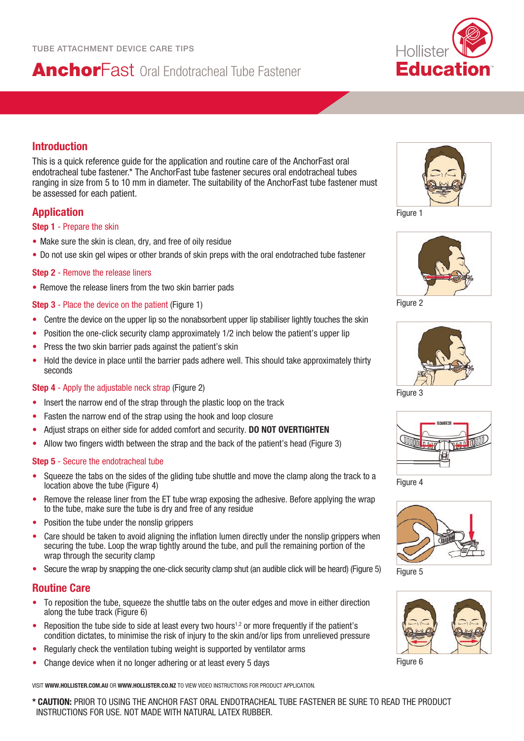# AnchorFast Oral Endotracheal Tube Fastener



# **Introduction**

This is a quick reference guide for the application and routine care of the AnchorFast oral endotracheal tube fastener.\* The AnchorFast tube fastener secures oral endotracheal tubes ranging in size from 5 to 10 mm in diameter. The suitability of the AnchorFast tube fastener must be assessed for each patient.

# **Application**

#### **Step 1** - Prepare the skin

- Make sure the skin is clean, dry, and free of oily residue
- Do not use skin gel wipes or other brands of skin preps with the oral endotrached tube fastener

#### **Step 2** - Remove the release liners

• Remove the release liners from the two skin barrier pads

#### **Step 3** - Place the device on the patient (Figure 1)

- Centre the device on the upper lip so the nonabsorbent upper lip stabiliser lightly touches the skin
- Position the one-click security clamp approximately 1/2 inch below the patient's upper lip
- Press the two skin barrier pads against the patient's skin
- Hold the device in place until the barrier pads adhere well. This should take approximately thirty seconds

#### **Step 4** - Apply the adjustable neck strap (Figure 2)

- Insert the narrow end of the strap through the plastic loop on the track
- Fasten the narrow end of the strap using the hook and loop closure
- Adjust straps on either side for added comfort and security. **DO NOT OVERTIGHTEN**
- Allow two fingers width between the strap and the back of the patient's head (Figure 3)

#### **Step 5** - Secure the endotracheal tube

- Squeeze the tabs on the sides of the gliding tube shuttle and move the clamp along the track to a location above the tube (Figure 4)
- Remove the release liner from the ET tube wrap exposing the adhesive. Before applying the wrap to the tube, make sure the tube is dry and free of any residue
- Position the tube under the nonslip grippers
- Care should be taken to avoid aligning the inflation lumen directly under the nonslip grippers when securing the tube. Loop the wrap tightly around the tube, and pull the remaining portion of the wrap through the security clamp
- Secure the wrap by snapping the one-click security clamp shut (an audible click will be heard) (Figure 5)

### **Routine Care**

- To reposition the tube, squeeze the shuttle tabs on the outer edges and move in either direction along the tube track (Figure 6)
- Reposition the tube side to side at least every two hours<sup>1,2</sup> or more frequently if the patient's condition dictates, to minimise the risk of injury to the skin and/or lips from unrelieved pressure
- Regularly check the ventilation tubing weight is supported by ventilator arms
- Change device when it no longer adhering or at least every 5 days

VISIT **WWW.HOLLISTER.COM.AU** OR **WWW.HOLLISTER.CO.NZ** TO VIEW VIDEO INSTRUCTIONS FOR PRODUCT APPLICATION.

Figure 1



Figure 2



Figure 3



Figure 4



Figure 5



Figure 6

**\* CAUTION:** PRIOR TO USING THE ANCHOR FAST ORAL ENDOTRACHEAL TUBE FASTENER BE SURE TO READ THE PRODUCT INSTRUCTIONS FOR USE. NOT MADE WITH NATURAL LATEX RUBBER.